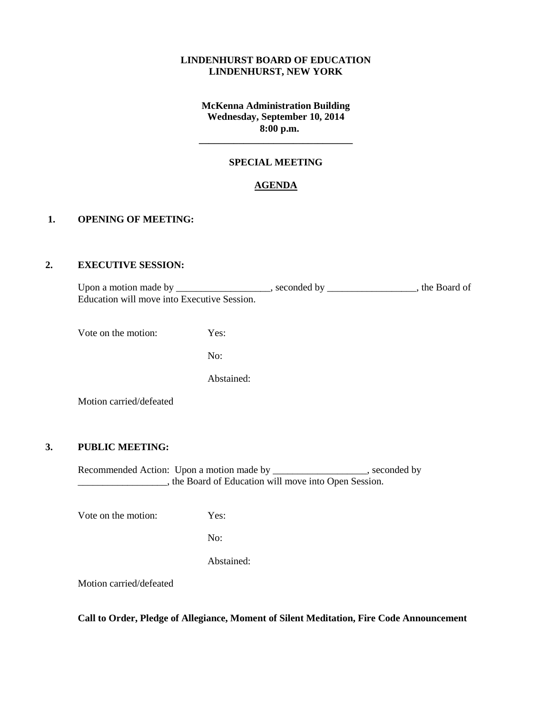### **LINDENHURST BOARD OF EDUCATION LINDENHURST, NEW YORK**

## **McKenna Administration Building Wednesday, September 10, 2014 8:00 p.m.**

## **SPECIAL MEETING**

**\_\_\_\_\_\_\_\_\_\_\_\_\_\_\_\_\_\_\_\_\_\_\_\_\_\_\_\_\_\_\_**

### **AGENDA**

#### **1. OPENING OF MEETING:**

### **2. EXECUTIVE SESSION:**

Upon a motion made by \_\_\_\_\_\_\_\_\_\_\_\_\_\_\_\_, seconded by \_\_\_\_\_\_\_\_\_\_\_\_\_, the Board of Education will move into Executive Session.

Vote on the motion: Yes:

No:

Abstained:

Motion carried/defeated

### **3. PUBLIC MEETING:**

Recommended Action: Upon a motion made by \_\_\_\_\_\_\_\_\_\_\_\_\_\_\_\_\_, seconded by \_\_\_\_\_\_\_\_\_\_\_\_\_\_\_\_\_\_, the Board of Education will move into Open Session.

Vote on the motion: Yes:

No:

Abstained:

Motion carried/defeated

**Call to Order, Pledge of Allegiance, Moment of Silent Meditation, Fire Code Announcement**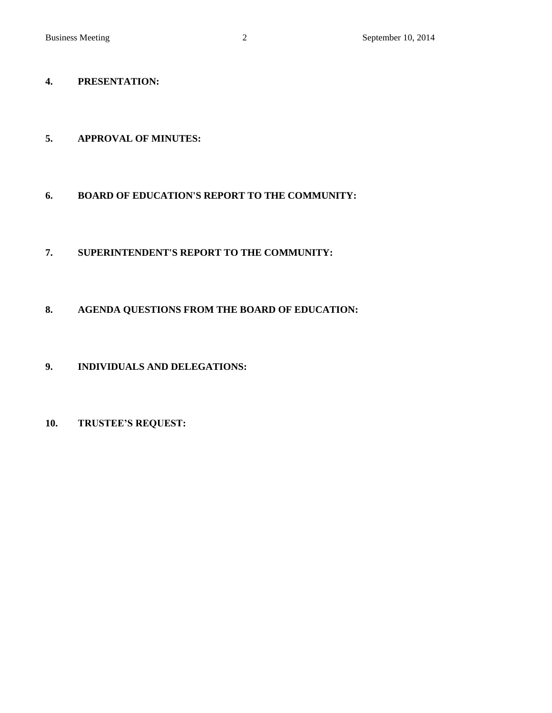# **4. PRESENTATION:**

# **5. APPROVAL OF MINUTES:**

# **6. BOARD OF EDUCATION'S REPORT TO THE COMMUNITY:**

# **7. SUPERINTENDENT'S REPORT TO THE COMMUNITY:**

# **8. AGENDA QUESTIONS FROM THE BOARD OF EDUCATION:**

# **9. INDIVIDUALS AND DELEGATIONS:**

# **10. TRUSTEE'S REQUEST:**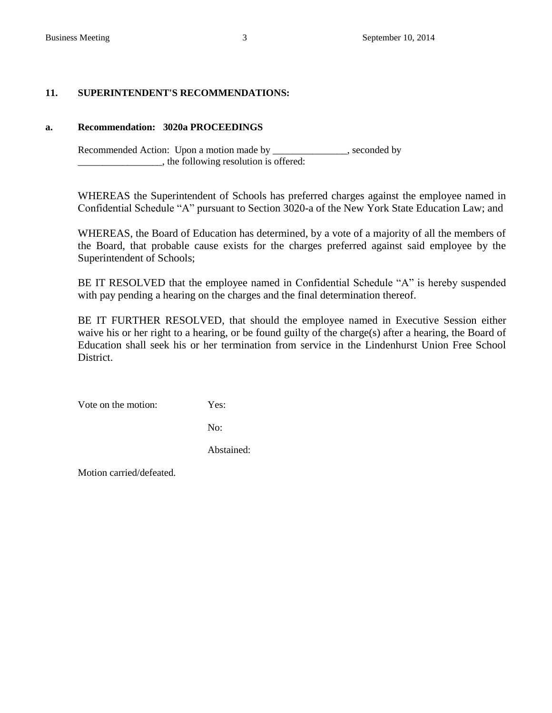## **11. SUPERINTENDENT'S RECOMMENDATIONS:**

## **a. Recommendation: 3020a PROCEEDINGS**

Recommended Action: Upon a motion made by \_\_\_\_\_\_\_\_\_\_\_\_\_, seconded by  $\Box$ , the following resolution is offered:

WHEREAS the Superintendent of Schools has preferred charges against the employee named in Confidential Schedule "A" pursuant to Section 3020-a of the New York State Education Law; and

WHEREAS, the Board of Education has determined, by a vote of a majority of all the members of the Board, that probable cause exists for the charges preferred against said employee by the Superintendent of Schools;

BE IT RESOLVED that the employee named in Confidential Schedule "A" is hereby suspended with pay pending a hearing on the charges and the final determination thereof.

BE IT FURTHER RESOLVED, that should the employee named in Executive Session either waive his or her right to a hearing, or be found guilty of the charge(s) after a hearing, the Board of Education shall seek his or her termination from service in the Lindenhurst Union Free School District.

Vote on the motion: Yes:

No:

Abstained:

Motion carried/defeated.